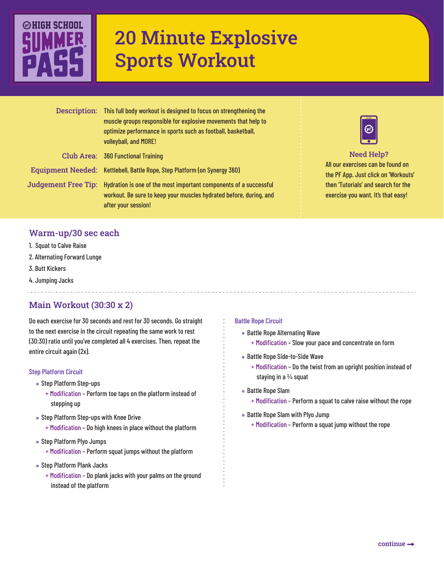

# 20 Minute Explosive Sports Workout

|                     | Description: This full body workout is designed to focus on strengthening the<br>muscle groups responsible for explosive movements that help to<br>optimize performance in sports such as football, basketball,<br>volleyball, and MORE! |
|---------------------|------------------------------------------------------------------------------------------------------------------------------------------------------------------------------------------------------------------------------------------|
|                     | Club Area: 360 Functional Training                                                                                                                                                                                                       |
|                     | Equipment Needed: Kettlebell, Battle Rope, Step Platform (on Synergy 360)                                                                                                                                                                |
| Judgement Free Tip: | Hydration is one of the most important components of a successful<br>workout. Be sure to keep your muscles hydrated before, during, and<br>after your session!                                                                           |



## Need Help?

All our exercises can be found on the PF App. Just click on 'Workouts' then 'Tutorials' and search for the exercise you want. It's that easy!

## Warm-up/30 sec each

- 1. Squat to Calve Raise
- 2. Alternating Forward Lunge
- 3. Butt Kickers

Judge:

4. Jumping Jacks

# Main Workout (30:30 x 2)

Do each exercise for 30 seconds and rest for 30 seconds. Go straight to the next exercise in the circuit repeating the same work to rest (30:30) ratio until you've completed all 4 exercises. Then, repeat the entire circuit again (2x).

#### **Step Platform Circuit**

- Step Platform Step-ups
	- + Modification Perform toe taps on the platform instead of stepping up
- Step Platform Step-ups with Knee Drive
	- + Modification Do high knees in place without the platform
- Step Platform Plyo Jumps
	- + Modification Perform squat jumps without the platform
- o Step Platform Plank Jacks
	- + Modification Do plank jacks with your palms on the ground instead of the platform

#### **Battle Rope Circuit**

- Battle Rope Alternating Wave
	- + Modification Slow your pace and concentrate on form
- Battle Rope Side-to-Side Wave
	- + Modification Do the twist from an upright position instead of staying in a 3/4 squat
- Battle Rope Slam
	- + Modification Perform a squat to calve raise without the rope
- Battle Rope Slam with Plyo Jump
	- + Modification Perform a squat jump without the rope